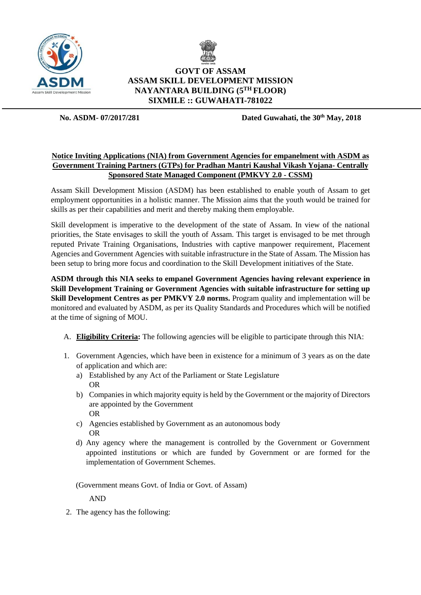



# **GOVT OF ASSAM ASSAM SKILL DEVELOPMENT MISSION NAYANTARA BUILDING (5 TH FLOOR) SIXMILE :: GUWAHATI-781022**

**No. ASDM- 07/2017/281 Dated Guwahati, the 30th May, 2018**

## **Notice Inviting Applications (NIA) from Government Agencies for empanelment with ASDM as Government Training Partners (GTPs) for Pradhan Mantri Kaushal Vikash Yojana- Centrally Sponsored State Managed Component (PMKVY 2.0 - CSSM)**

Assam Skill Development Mission (ASDM) has been established to enable youth of Assam to get employment opportunities in a holistic manner. The Mission aims that the youth would be trained for skills as per their capabilities and merit and thereby making them employable.

Skill development is imperative to the development of the state of Assam. In view of the national priorities, the State envisages to skill the youth of Assam. This target is envisaged to be met through reputed Private Training Organisations, Industries with captive manpower requirement, Placement Agencies and Government Agencies with suitable infrastructure in the State of Assam. The Mission has been setup to bring more focus and coordination to the Skill Development initiatives of the State.

**ASDM through this NIA seeks to empanel Government Agencies having relevant experience in Skill Development Training or Government Agencies with suitable infrastructure for setting up Skill Development Centres as per PMKVY 2.0 norms.** Program quality and implementation will be monitored and evaluated by ASDM, as per its Quality Standards and Procedures which will be notified at the time of signing of MOU.

- A. **Eligibility Criteria:** The following agencies will be eligible to participate through this NIA:
- 1. Government Agencies, which have been in existence for a minimum of 3 years as on the date of application and which are:
	- a) Established by any Act of the Parliament or State Legislature OR
	- b) Companies in which majority equity is held by the Government or the majority of Directors are appointed by the Government OR
	- c) Agencies established by Government as an autonomous body OR
	- d) Any agency where the management is controlled by the Government or Government appointed institutions or which are funded by Government or are formed for the implementation of Government Schemes.

(Government means Govt. of India or Govt. of Assam)

AND

2. The agency has the following: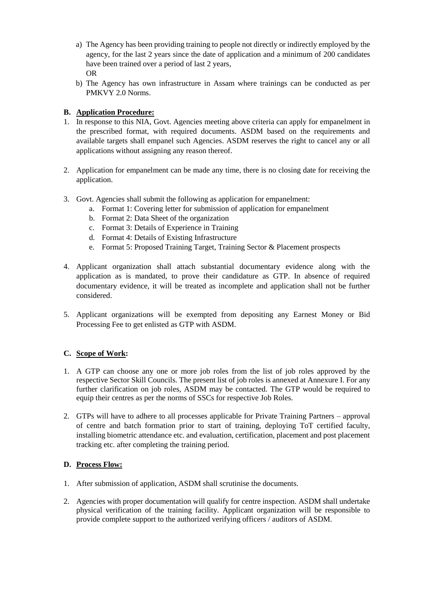- a) The Agency has been providing training to people not directly or indirectly employed by the agency, for the last 2 years since the date of application and a minimum of 200 candidates have been trained over a period of last 2 years. OR
- b) The Agency has own infrastructure in Assam where trainings can be conducted as per PMKVY 2.0 Norms.

## **B. Application Procedure:**

- 1. In response to this NIA, Govt. Agencies meeting above criteria can apply for empanelment in the prescribed format, with required documents. ASDM based on the requirements and available targets shall empanel such Agencies. ASDM reserves the right to cancel any or all applications without assigning any reason thereof.
- 2. Application for empanelment can be made any time, there is no closing date for receiving the application.
- 3. Govt. Agencies shall submit the following as application for empanelment:
	- a. Format 1: Covering letter for submission of application for empanelment
	- b. Format 2: Data Sheet of the organization
	- c. Format 3: Details of Experience in Training
	- d. Format 4: Details of Existing Infrastructure
	- e. Format 5: Proposed Training Target, Training Sector & Placement prospects
- 4. Applicant organization shall attach substantial documentary evidence along with the application as is mandated, to prove their candidature as GTP. In absence of required documentary evidence, it will be treated as incomplete and application shall not be further considered.
- 5. Applicant organizations will be exempted from depositing any Earnest Money or Bid Processing Fee to get enlisted as GTP with ASDM.

### **C. Scope of Work:**

- 1. A GTP can choose any one or more job roles from the list of job roles approved by the respective Sector Skill Councils. The present list of job roles is annexed at Annexure I. For any further clarification on job roles, ASDM may be contacted. The GTP would be required to equip their centres as per the norms of SSCs for respective Job Roles.
- 2. GTPs will have to adhere to all processes applicable for Private Training Partners approval of centre and batch formation prior to start of training, deploying ToT certified faculty, installing biometric attendance etc. and evaluation, certification, placement and post placement tracking etc. after completing the training period.

### **D. Process Flow:**

- 1. After submission of application, ASDM shall scrutinise the documents.
- 2. Agencies with proper documentation will qualify for centre inspection. ASDM shall undertake physical verification of the training facility. Applicant organization will be responsible to provide complete support to the authorized verifying officers / auditors of ASDM.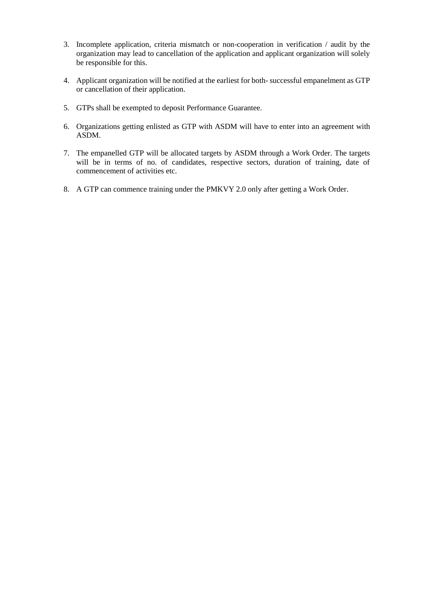- 3. Incomplete application, criteria mismatch or non-cooperation in verification / audit by the organization may lead to cancellation of the application and applicant organization will solely be responsible for this.
- 4. Applicant organization will be notified at the earliest for both- successful empanelment as GTP or cancellation of their application.
- 5. GTPs shall be exempted to deposit Performance Guarantee.
- 6. Organizations getting enlisted as GTP with ASDM will have to enter into an agreement with ASDM.
- 7. The empanelled GTP will be allocated targets by ASDM through a Work Order. The targets will be in terms of no. of candidates, respective sectors, duration of training, date of commencement of activities etc.
- 8. A GTP can commence training under the PMKVY 2.0 only after getting a Work Order.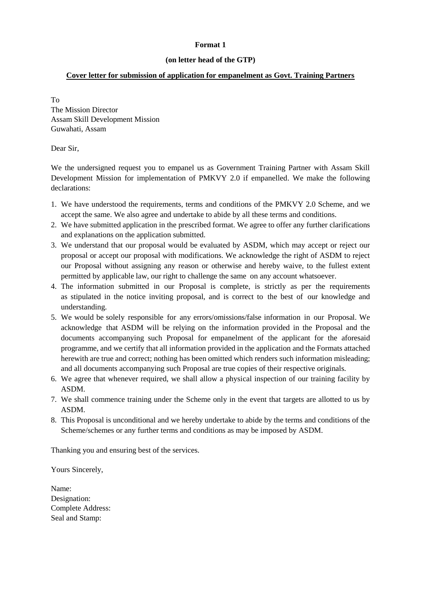## **(on letter head of the GTP)**

## **Cover letter for submission of application for empanelment as Govt. Training Partners**

To The Mission Director Assam Skill Development Mission Guwahati, Assam

## Dear Sir,

We the undersigned request you to empanel us as Government Training Partner with Assam Skill Development Mission for implementation of PMKVY 2.0 if empanelled. We make the following declarations:

- 1. We have understood the requirements, terms and conditions of the PMKVY 2.0 Scheme, and we accept the same. We also agree and undertake to abide by all these terms and conditions.
- 2. We have submitted application in the prescribed format. We agree to offer any further clarifications and explanations on the application submitted.
- 3. We understand that our proposal would be evaluated by ASDM, which may accept or reject our proposal or accept our proposal with modifications. We acknowledge the right of ASDM to reject our Proposal without assigning any reason or otherwise and hereby waive, to the fullest extent permitted by applicable law, our right to challenge the same on any account whatsoever.
- 4. The information submitted in our Proposal is complete, is strictly as per the requirements as stipulated in the notice inviting proposal, and is correct to the best of our knowledge and understanding.
- 5. We would be solely responsible for any errors/omissions/false information in our Proposal. We acknowledge that ASDM will be relying on the information provided in the Proposal and the documents accompanying such Proposal for empanelment of the applicant for the aforesaid programme, and we certify that all information provided in the application and the Formats attached herewith are true and correct; nothing has been omitted which renders such information misleading; and all documents accompanying such Proposal are true copies of their respective originals.
- 6. We agree that whenever required, we shall allow a physical inspection of our training facility by ASDM.
- 7. We shall commence training under the Scheme only in the event that targets are allotted to us by ASDM.
- 8. This Proposal is unconditional and we hereby undertake to abide by the terms and conditions of the Scheme/schemes or any further terms and conditions as may be imposed by ASDM.

Thanking you and ensuring best of the services.

Yours Sincerely,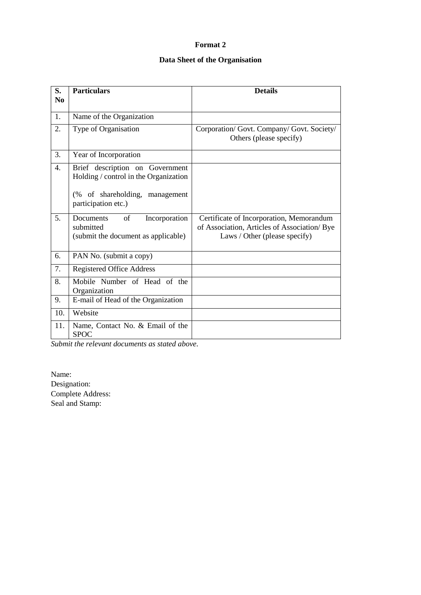# **Data Sheet of the Organisation**

| S.               | <b>Particulars</b>                                                                   | <b>Details</b>                                                                                                            |
|------------------|--------------------------------------------------------------------------------------|---------------------------------------------------------------------------------------------------------------------------|
| N <sub>0</sub>   |                                                                                      |                                                                                                                           |
| 1.               | Name of the Organization                                                             |                                                                                                                           |
| 2.               | Type of Organisation                                                                 | Corporation/ Govt. Company/ Govt. Society/<br>Others (please specify)                                                     |
| 3.               | Year of Incorporation                                                                |                                                                                                                           |
| $\overline{4}$ . | Brief description on Government<br>Holding / control in the Organization             |                                                                                                                           |
|                  | (% of shareholding,<br>management<br>participation etc.)                             |                                                                                                                           |
| 5 <sub>1</sub>   | Documents<br>of<br>Incorporation<br>submitted<br>(submit the document as applicable) | Certificate of Incorporation, Memorandum<br>of Association, Articles of Association/ Bye<br>Laws / Other (please specify) |
| 6.               | PAN No. (submit a copy)                                                              |                                                                                                                           |
| 7.               | Registered Office Address                                                            |                                                                                                                           |
| 8.               | Mobile Number of Head of the<br>Organization                                         |                                                                                                                           |
| 9.               | E-mail of Head of the Organization                                                   |                                                                                                                           |
| 10.              | Website                                                                              |                                                                                                                           |
| 11.              | Name, Contact No. & Email of the<br><b>SPOC</b>                                      |                                                                                                                           |

*Submit the relevant documents as stated above.*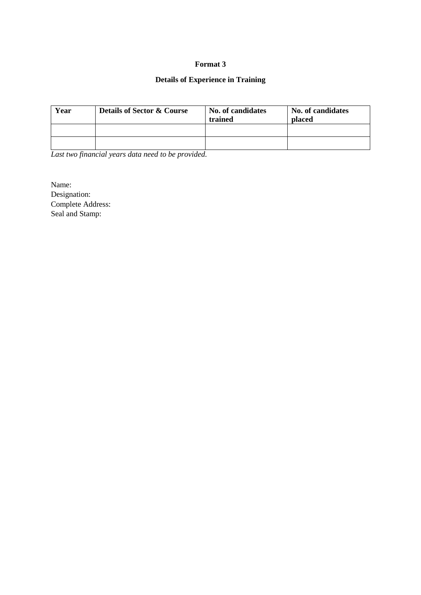# **Details of Experience in Training**

| Year | <b>Details of Sector &amp; Course</b> | No. of candidates<br>trained | No. of candidates<br>placed |
|------|---------------------------------------|------------------------------|-----------------------------|
|      |                                       |                              |                             |
|      |                                       |                              |                             |

*Last two financial years data need to be provided.*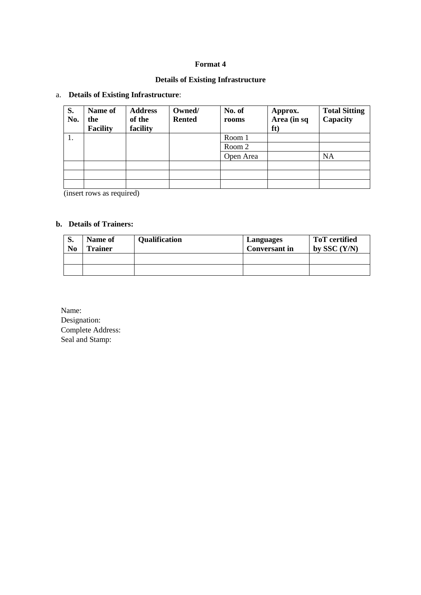# **Details of Existing Infrastructure**

# a. **Details of Existing Infrastructure**:

| S.<br>No.                             | Name of<br>the<br><b>Facility</b> | <b>Address</b><br>of the<br>facility | Owned/<br><b>Rented</b> | No. of<br>rooms | Approx.<br>Area (in sq<br>ft) | <b>Total Sitting</b><br>Capacity |
|---------------------------------------|-----------------------------------|--------------------------------------|-------------------------|-----------------|-------------------------------|----------------------------------|
| 1.                                    |                                   |                                      |                         | Room 1          |                               |                                  |
|                                       |                                   |                                      |                         | Room 2          |                               |                                  |
|                                       |                                   |                                      |                         | Open Area       |                               | <b>NA</b>                        |
|                                       |                                   |                                      |                         |                 |                               |                                  |
|                                       |                                   |                                      |                         |                 |                               |                                  |
|                                       |                                   |                                      |                         |                 |                               |                                  |
| $\lambda$<br>the contract of the con- |                                   | $\rightarrow$                        |                         |                 |                               |                                  |

(insert rows as required)

## **b. Details of Trainers:**

| d.<br>No | Name of<br><b>Trainer</b> | <b>Qualification</b> | Languages<br><b>Conversant in</b> | <b>ToT</b> certified<br>by SSC $(Y/N)$ |
|----------|---------------------------|----------------------|-----------------------------------|----------------------------------------|
|          |                           |                      |                                   |                                        |
|          |                           |                      |                                   |                                        |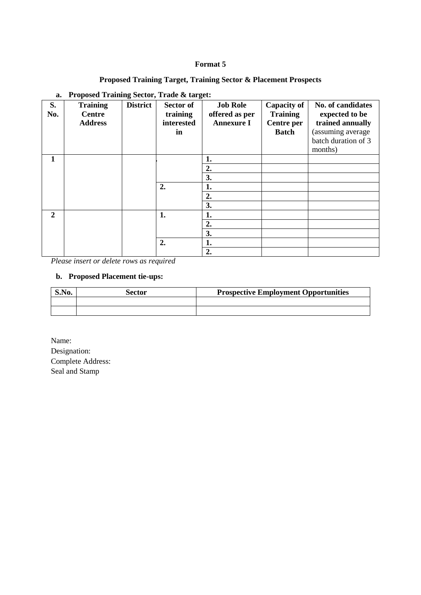# **Proposed Training Target, Training Sector & Placement Prospects**

| S.<br>No.      | <b>Training</b><br>Centre<br><b>Address</b> | 0<br><b>District</b> | Sector of<br>training<br>interested<br>in | <b>Job Role</b><br>offered as per<br><b>Annexure I</b> | <b>Capacity of</b><br><b>Training</b><br>Centre per<br><b>Batch</b> | No. of candidates<br>expected to be<br>trained annually<br>(assuming average<br>batch duration of 3<br>months) |
|----------------|---------------------------------------------|----------------------|-------------------------------------------|--------------------------------------------------------|---------------------------------------------------------------------|----------------------------------------------------------------------------------------------------------------|
| 1              |                                             |                      |                                           | 1.                                                     |                                                                     |                                                                                                                |
|                |                                             |                      |                                           | 2.                                                     |                                                                     |                                                                                                                |
|                |                                             |                      |                                           | 3.                                                     |                                                                     |                                                                                                                |
|                |                                             |                      | 2.                                        | 1.                                                     |                                                                     |                                                                                                                |
|                |                                             |                      |                                           | 2.                                                     |                                                                     |                                                                                                                |
|                |                                             |                      |                                           | 3.                                                     |                                                                     |                                                                                                                |
| $\overline{2}$ |                                             |                      | 1.                                        | 1.                                                     |                                                                     |                                                                                                                |
|                |                                             |                      |                                           | 2.                                                     |                                                                     |                                                                                                                |
|                |                                             |                      |                                           | 3.                                                     |                                                                     |                                                                                                                |
|                |                                             |                      | 2.                                        | 1.                                                     |                                                                     |                                                                                                                |
|                |                                             |                      |                                           | 2.                                                     |                                                                     |                                                                                                                |

### **a. Proposed Training Sector, Trade & target:**

*Please insert or delete rows as required*

## **b. Proposed Placement tie-ups:**

| S.No. | Sector | <b>Prospective Employment Opportunities</b> |
|-------|--------|---------------------------------------------|
|       |        |                                             |
|       |        |                                             |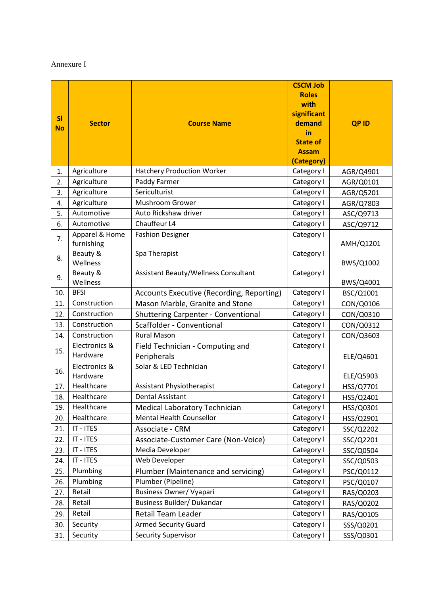#### Annexure I

|           |                              |                                             | <b>CSCM Job</b><br><b>Roles</b> |             |
|-----------|------------------------------|---------------------------------------------|---------------------------------|-------------|
|           |                              |                                             | with                            |             |
| SI        |                              |                                             | significant                     |             |
| <b>No</b> | <b>Sector</b>                | <b>Course Name</b>                          | demand<br>in                    | <b>QPID</b> |
|           |                              |                                             | <b>State of</b>                 |             |
|           |                              |                                             | <b>Assam</b>                    |             |
|           |                              |                                             | (Category)                      |             |
| 1.        | Agriculture                  | <b>Hatchery Production Worker</b>           | Category I                      | AGR/Q4901   |
| 2.        | Agriculture                  | Paddy Farmer                                | Category I                      | AGR/Q0101   |
| 3.        | Agriculture                  | Sericulturist                               | Category I                      | AGR/Q5201   |
| 4.        | Agriculture                  | Mushroom Grower                             | Category I                      | AGR/Q7803   |
| 5.        | Automotive                   | Auto Rickshaw driver                        | Category I                      | ASC/Q9713   |
| 6.        | Automotive                   | Chauffeur L4                                | Category I                      | ASC/Q9712   |
| 7.        | Apparel & Home<br>furnishing | <b>Fashion Designer</b>                     | Category I                      | AMH/Q1201   |
| 8.        | Beauty &<br>Wellness         | Spa Therapist                               | Category I                      | BWS/Q1002   |
|           | Beauty &                     | <b>Assistant Beauty/Wellness Consultant</b> | Category I                      |             |
| 9.        | Wellness                     |                                             |                                 | BWS/Q4001   |
| 10.       | <b>BFSI</b>                  | Accounts Executive (Recording, Reporting)   | Category I                      | BSC/Q1001   |
| 11.       | Construction                 | Mason Marble, Granite and Stone             | Category I                      | CON/Q0106   |
| 12.       | Construction                 | <b>Shuttering Carpenter - Conventional</b>  | Category I                      | CON/Q0310   |
| 13.       | Construction                 | Scaffolder - Conventional                   | Category I                      | CON/Q0312   |
| 14.       | Construction                 | <b>Rural Mason</b>                          | Category I                      | CON/Q3603   |
|           | Electronics &                | Field Technician - Computing and            | Category I                      |             |
| 15.       | Hardware                     | Peripherals                                 |                                 | ELE/Q4601   |
|           | Electronics &                | Solar & LED Technician                      | Category I                      |             |
| 16.       | Hardware                     |                                             |                                 | ELE/Q5903   |
| 17.       | Healthcare                   | <b>Assistant Physiotherapist</b>            | Category I                      | HSS/Q7701   |
| 18.       | Healthcare                   | <b>Dental Assistant</b>                     | Category I                      | HSS/Q2401   |
| 19.       | Healthcare                   | Medical Laboratory Technician               | Category I                      | HSS/Q0301   |
| 20.       | Healthcare                   | Mental Health Counsellor                    | Category I                      | HSS/Q2901   |
| 21.       | IT - ITES                    | Associate - CRM                             | Category I                      | SSC/Q2202   |
| 22.       | IT - ITES                    | Associate-Customer Care (Non-Voice)         | Category I                      | SSC/Q2201   |
| 23.       | IT - ITES                    | Media Developer                             | Category I                      | SSC/Q0504   |
| 24.       | IT - ITES                    | Web Developer                               | Category I                      | SSC/Q0503   |
| 25.       | Plumbing                     | Plumber (Maintenance and servicing)         | Category I                      | PSC/Q0112   |
| 26.       | Plumbing                     | Plumber (Pipeline)                          | Category I                      | PSC/Q0107   |
| 27.       | Retail                       | <b>Business Owner/ Vyapari</b>              | Category I                      | RAS/Q0203   |
| 28.       | Retail                       | Business Builder/ Dukandar                  | Category I                      | RAS/Q0202   |
| 29.       | Retail                       | Retail Team Leader                          | Category I                      | RAS/Q0105   |
| 30.       | Security                     | <b>Armed Security Guard</b>                 | Category I                      | SSS/Q0201   |
| 31.       | Security                     | <b>Security Supervisor</b>                  | Category I                      | SSS/Q0301   |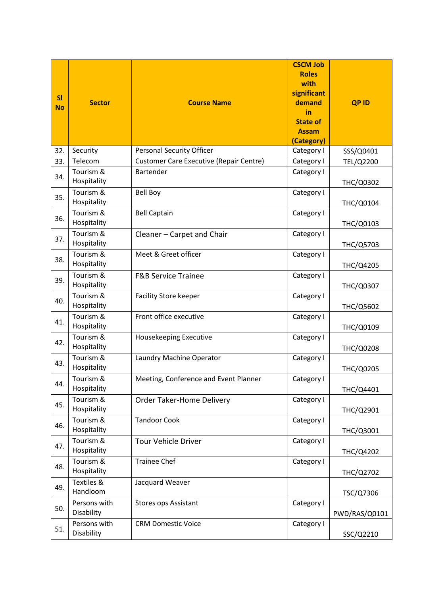| SI<br><b>No</b> | <b>Sector</b>              | <b>Course Name</b>                             | <b>CSCM Job</b><br><b>Roles</b><br>with<br>significant<br>demand<br>in<br><b>State of</b><br><b>Assam</b><br>(Category) | <b>QPID</b>      |
|-----------------|----------------------------|------------------------------------------------|-------------------------------------------------------------------------------------------------------------------------|------------------|
| 32.             | Security                   | <b>Personal Security Officer</b>               | Category I                                                                                                              | SSS/Q0401        |
| 33.             | Telecom                    | <b>Customer Care Executive (Repair Centre)</b> | Category I                                                                                                              | TEL/Q2200        |
| 34.             | Tourism &<br>Hospitality   | <b>Bartender</b>                               | Category I                                                                                                              | THC/Q0302        |
| 35.             | Tourism &<br>Hospitality   | <b>Bell Boy</b>                                | Category I                                                                                                              | THC/Q0104        |
| 36.             | Tourism &<br>Hospitality   | <b>Bell Captain</b>                            | Category I                                                                                                              | THC/Q0103        |
| 37.             | Tourism &<br>Hospitality   | Cleaner - Carpet and Chair                     | Category I                                                                                                              | THC/Q5703        |
| 38.             | Tourism &<br>Hospitality   | Meet & Greet officer                           | Category I                                                                                                              | THC/Q4205        |
| 39.             | Tourism &<br>Hospitality   | <b>F&amp;B Service Trainee</b>                 | Category I                                                                                                              | THC/Q0307        |
| 40.             | Tourism &<br>Hospitality   | <b>Facility Store keeper</b>                   | Category I                                                                                                              | <b>THC/Q5602</b> |
| 41.             | Tourism &<br>Hospitality   | Front office executive                         | Category I                                                                                                              | THC/Q0109        |
| 42.             | Tourism &<br>Hospitality   | Housekeeping Executive                         | Category I                                                                                                              | <b>THC/Q0208</b> |
| 43.             | Tourism &<br>Hospitality   | Laundry Machine Operator                       | Category I                                                                                                              | <b>THC/Q0205</b> |
| 44.             | Tourism &<br>Hospitality   | Meeting, Conference and Event Planner          | Category I                                                                                                              | THC/Q4401        |
| 45.             | Tourism &<br>Hospitality   | Order Taker-Home Delivery                      | Category I                                                                                                              | THC/Q2901        |
| 46.             | Tourism &<br>Hospitality   | <b>Tandoor Cook</b>                            | Category I                                                                                                              | THC/Q3001        |
| 47.             | Tourism &<br>Hospitality   | <b>Tour Vehicle Driver</b>                     | Category I                                                                                                              | THC/Q4202        |
| 48.             | Tourism &<br>Hospitality   | <b>Trainee Chef</b>                            | Category I                                                                                                              | THC/Q2702        |
| 49.             | Textiles &<br>Handloom     | Jacquard Weaver                                |                                                                                                                         | TSC/Q7306        |
| 50.             | Persons with<br>Disability | <b>Stores ops Assistant</b>                    | Category I                                                                                                              | PWD/RAS/Q0101    |
| 51.             | Persons with<br>Disability | <b>CRM Domestic Voice</b>                      | Category I                                                                                                              | SSC/Q2210        |